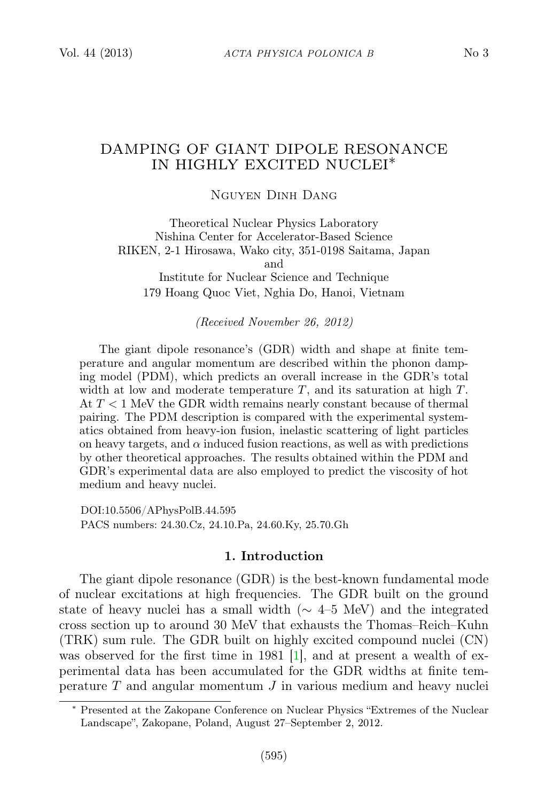# DAMPING OF GIANT DIPOLE RESONANCE IN HIGHLY EXCITED NUCLEI∗

### Nguyen Dinh Dang

Theoretical Nuclear Physics Laboratory Nishina Center for Accelerator-Based Science RIKEN, 2-1 Hirosawa, Wako city, 351-0198 Saitama, Japan and Institute for Nuclear Science and Technique

179 Hoang Quoc Viet, Nghia Do, Hanoi, Vietnam

### (Received November 26, 2012)

The giant dipole resonance's (GDR) width and shape at finite temperature and angular momentum are described within the phonon damping model (PDM), which predicts an overall increase in the GDR's total width at low and moderate temperature  $T$ , and its saturation at high  $T$ . At  $T < 1$  MeV the GDR width remains nearly constant because of thermal pairing. The PDM description is compared with the experimental systematics obtained from heavy-ion fusion, inelastic scattering of light particles on heavy targets, and  $\alpha$  induced fusion reactions, as well as with predictions by other theoretical approaches. The results obtained within the PDM and GDR's experimental data are also employed to predict the viscosity of hot medium and heavy nuclei.

DOI:10.5506/APhysPolB.44.595 PACS numbers: 24.30.Cz, 24.10.Pa, 24.60.Ky, 25.70.Gh

### 1. Introduction

The giant dipole resonance (GDR) is the best-known fundamental mode of nuclear excitations at high frequencies. The GDR built on the ground state of heavy nuclei has a small width ( $\sim$  4–5 MeV) and the integrated cross section up to around 30 MeV that exhausts the Thomas–Reich–Kuhn (TRK) sum rule. The GDR built on highly excited compound nuclei (CN) was observed for the first time in 1981 [\[1\]](#page-9-0), and at present a wealth of experimental data has been accumulated for the GDR widths at finite temperature  $T$  and angular momentum  $J$  in various medium and heavy nuclei

<sup>∗</sup> Presented at the Zakopane Conference on Nuclear Physics "Extremes of the Nuclear Landscape", Zakopane, Poland, August 27–September 2, 2012.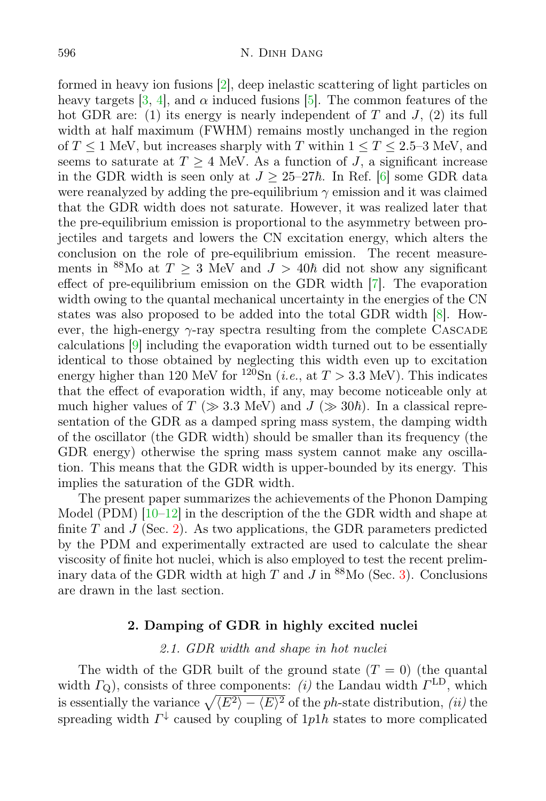formed in heavy ion fusions [\[2\]](#page-9-1), deep inelastic scattering of light particles on heavy targets [\[3,](#page-9-2) [4\]](#page-9-3), and  $\alpha$  induced fusions [\[5\]](#page-9-4). The common features of the hot GDR are: (1) its energy is nearly independent of T and J, (2) its full width at half maximum (FWHM) remains mostly unchanged in the region of  $T \leq 1$  MeV, but increases sharply with T within  $1 \leq T \leq 2.5$ –3 MeV, and seems to saturate at  $T \geq 4$  MeV. As a function of J, a significant increase in the GDR width is seen only at  $J \geq 25-27\hbar$ . In Ref. [\[6\]](#page-9-5) some GDR data were reanalyzed by adding the pre-equilibrium  $\gamma$  emission and it was claimed that the GDR width does not saturate. However, it was realized later that the pre-equilibrium emission is proportional to the asymmetry between projectiles and targets and lowers the CN excitation energy, which alters the conclusion on the role of pre-equilibrium emission. The recent measurements in <sup>88</sup>Mo at  $T \geq 3$  MeV and  $J > 40\hbar$  did not show any significant effect of pre-equilibrium emission on the GDR width [\[7\]](#page-9-6). The evaporation width owing to the quantal mechanical uncertainty in the energies of the CN states was also proposed to be added into the total GDR width [\[8\]](#page-9-7). However, the high-energy  $\gamma$ -ray spectra resulting from the complete CASCADE calculations [\[9\]](#page-9-8) including the evaporation width turned out to be essentially identical to those obtained by neglecting this width even up to excitation energy higher than 120 MeV for <sup>120</sup>Sn (*i.e.*, at  $T > 3.3$  MeV). This indicates that the effect of evaporation width, if any, may become noticeable only at much higher values of  $T (\gg 3.3 \text{ MeV})$  and  $J (\gg 30\hbar)$ . In a classical representation of the GDR as a damped spring mass system, the damping width of the oscillator (the GDR width) should be smaller than its frequency (the GDR energy) otherwise the spring mass system cannot make any oscillation. This means that the GDR width is upper-bounded by its energy. This implies the saturation of the GDR width.

The present paper summarizes the achievements of the Phonon Damping Model (PDM)  $[10-12]$  $[10-12]$  in the description of the the GDR width and shape at finite  $T$  and  $J$  (Sec. [2\)](#page-1-0). As two applications, the GDR parameters predicted by the PDM and experimentally extracted are used to calculate the shear viscosity of finite hot nuclei, which is also employed to test the recent preliminary data of the GDR width at high  $T$  and  $\overline{J}$  in  $^{88}$ Mo (Sec. [3\)](#page-6-0). Conclusions are drawn in the last section.

## 2. Damping of GDR in highly excited nuclei

### 2.1. GDR width and shape in hot nuclei

<span id="page-1-1"></span><span id="page-1-0"></span>The width of the GDR built of the ground state  $(T = 0)$  (the quantal width  $\Gamma_Q$ ), consists of three components: (i) the Landau width  $\Gamma^{\rm LD}$ , which is essentially the variance  $\sqrt{\langle E^2 \rangle - \langle E \rangle^2}$  of the ph-state distribution, (ii) the spreading width  $\Gamma^{\downarrow}$  caused by coupling of 1p1h states to more complicated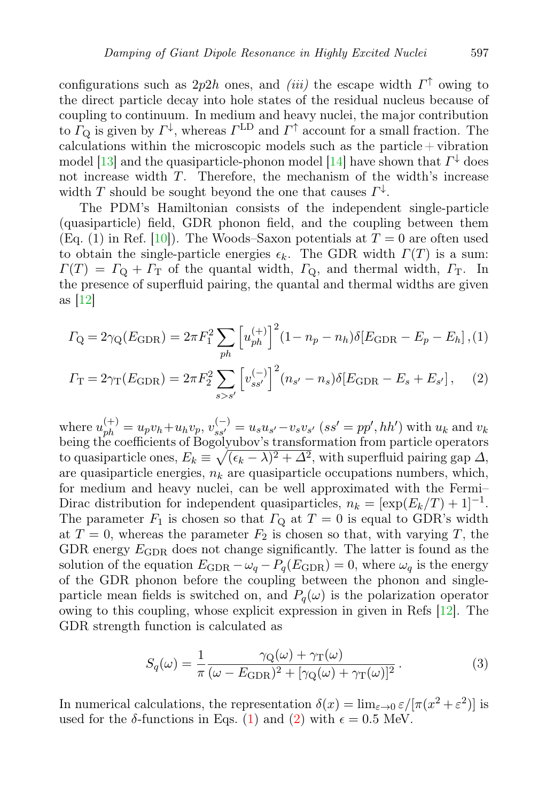configurations such as  $2p2h$  ones, and *(iii)* the escape width  $\Gamma^{\uparrow}$  owing to the direct particle decay into hole states of the residual nucleus because of coupling to continuum. In medium and heavy nuclei, the major contribution to  $\Gamma_{\mathbf{Q}}$  is given by  $\Gamma^{\downarrow}$ , whereas  $\Gamma^{\text{LD}}$  and  $\Gamma^{\uparrow}$  account for a small fraction. The calculations within the microscopic models such as the particle  $+$  vibration model [\[13\]](#page-9-11) and the quasiparticle-phonon model [\[14\]](#page-9-12) have shown that  $\Gamma^{\downarrow}$  does not increase width T. Therefore, the mechanism of the width's increase width T should be sought beyond the one that causes  $\Gamma^{\downarrow}$ .

The PDM's Hamiltonian consists of the independent single-particle (quasiparticle) field, GDR phonon field, and the coupling between them (Eq. (1) in Ref. [\[10\]](#page-9-9)). The Woods–Saxon potentials at  $T=0$  are often used to obtain the single-particle energies  $\epsilon_k$ . The GDR width  $\Gamma(T)$  is a sum:  $\Gamma(T) = \Gamma_{\rm O} + \Gamma_{\rm T}$  of the quantal width,  $\Gamma_{\rm O}$ , and thermal width,  $\Gamma_{\rm T}$ . In the presence of superfluid pairing, the quantal and thermal widths are given as  $|12|$ 

<span id="page-2-0"></span>
$$
\Gamma_{\rm Q} = 2\gamma_{\rm Q}(E_{\rm GDR}) = 2\pi F_1^2 \sum_{ph} \left[ u_{ph}^{(+)} \right]^2 (1 - n_p - n_h) \delta[E_{\rm GDR} - E_p - E_h], (1)
$$

$$
\Gamma_{\rm T} = 2\gamma_{\rm T}(E_{\rm GDR}) = 2\pi F_2^2 \sum_{s>s'} \left[ v_{ss'}^{(-)} \right]^2 (n_{s'} - n_s) \delta[E_{\rm GDR} - E_s + E_{s'}], \quad (2)
$$

where  $u_{ph}^{(+)} = u_p v_h + u_h v_p$ ,  $v_{ss'}^{(-)} = u_s u_{s'} - v_s v_{s'}$  (ss' = pp', hh') with  $u_k$  and  $v_k$ being the coefficients of Bogolyubov's transformation from particle operators to quasiparticle ones,  $E_k \equiv \sqrt{(\epsilon_k - \lambda)^2 + \Delta^2}$ , with superfluid pairing gap  $\Delta$ , are quasiparticle energies,  $n_k$  are quasiparticle occupations numbers, which, for medium and heavy nuclei, can be well approximated with the Fermi– Dirac distribution for independent quasiparticles,  $n_k = [\exp(E_k/T) + 1]^{-1}$ . The parameter  $F_1$  is chosen so that  $\Gamma_{\text{Q}}$  at  $T = 0$  is equal to GDR's width at  $T=0$ , whereas the parameter  $F_2$  is chosen so that, with varying T, the GDR energy  $E_{\text{GDR}}$  does not change significantly. The latter is found as the solution of the equation  $E_{\text{GDR}} - \omega_q - P_q(E_{\text{GDR}}) = 0$ , where  $\omega_q$  is the energy of the GDR phonon before the coupling between the phonon and singleparticle mean fields is switched on, and  $P_q(\omega)$  is the polarization operator owing to this coupling, whose explicit expression in given in Refs [\[12\]](#page-9-10). The GDR strength function is calculated as

<span id="page-2-1"></span>
$$
S_q(\omega) = \frac{1}{\pi} \frac{\gamma_Q(\omega) + \gamma_T(\omega)}{(\omega - E_{\text{GDR}})^2 + [\gamma_Q(\omega) + \gamma_T(\omega)]^2}.
$$
 (3)

In numerical calculations, the representation  $\delta(x) = \lim_{\varepsilon \to 0} \varepsilon / [\pi(x^2 + \varepsilon^2)]$  is used for the  $\delta$ -functions in Eqs. [\(1\)](#page-2-0) and [\(2\)](#page-2-0) with  $\epsilon = 0.5$  MeV.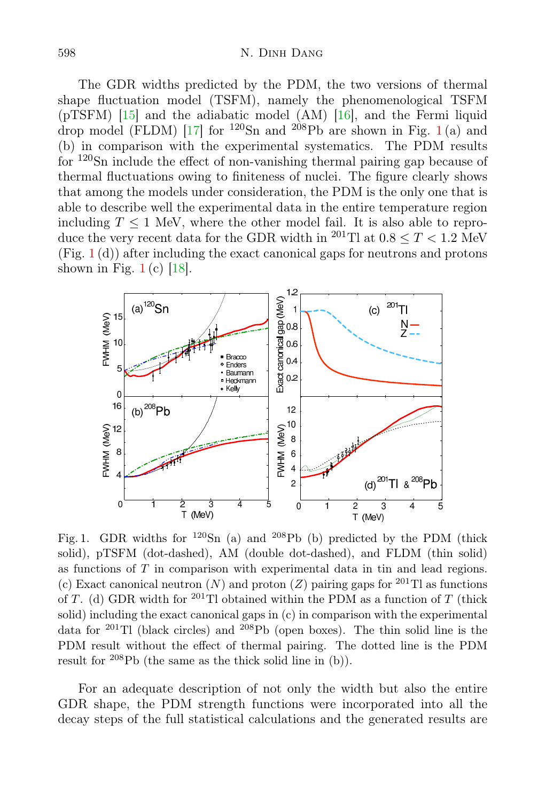The GDR widths predicted by the PDM, the two versions of thermal shape fluctuation model (TSFM), namely the phenomenological TSFM (pTSFM) [\[15\]](#page-9-13) and the adiabatic model (AM) [\[16\]](#page-9-14), and the Fermi liquid drop model (FLDM) [\[17\]](#page-9-15) for <sup>[1](#page-3-0)20</sup>Sn and <sup>208</sup>Pb are shown in Fig. 1(a) and (b) in comparison with the experimental systematics. The PDM results for  $120\text{Sn}$  include the effect of non-vanishing thermal pairing gap because of thermal fluctuations owing to finiteness of nuclei. The figure clearly shows that among the models under consideration, the PDM is the only one that is able to describe well the experimental data in the entire temperature region including  $T \leq 1$  MeV, where the other model fail. It is also able to reproduce the very recent data for the GDR width in <sup>201</sup>Tl at  $0.8 \leq T < 1.2$  MeV  $(Fig. 1(d))$  $(Fig. 1(d))$  $(Fig. 1(d))$  after including the exact canonical gaps for neutrons and protons shown in Fig.  $1(c)$  $1(c)$  [\[18\]](#page-9-16).



<span id="page-3-0"></span>Fig. 1. GDR widths for  $120\text{Sn}$  (a) and  $208\text{Pb}$  (b) predicted by the PDM (thick solid), pTSFM (dot-dashed), AM (double dot-dashed), and FLDM (thin solid) as functions of T in comparison with experimental data in tin and lead regions. (c) Exact canonical neutron  $(N)$  and proton  $(Z)$  pairing gaps for <sup>201</sup>Tl as functions of T. (d) GDR width for <sup>201</sup>Tl obtained within the PDM as a function of T (thick solid) including the exact canonical gaps in (c) in comparison with the experimental data for  $^{201}$ Tl (black circles) and  $^{208}$ Pb (open boxes). The thin solid line is the PDM result without the effect of thermal pairing. The dotted line is the PDM result for  $208Pb$  (the same as the thick solid line in (b)).

For an adequate description of not only the width but also the entire GDR shape, the PDM strength functions were incorporated into all the decay steps of the full statistical calculations and the generated results are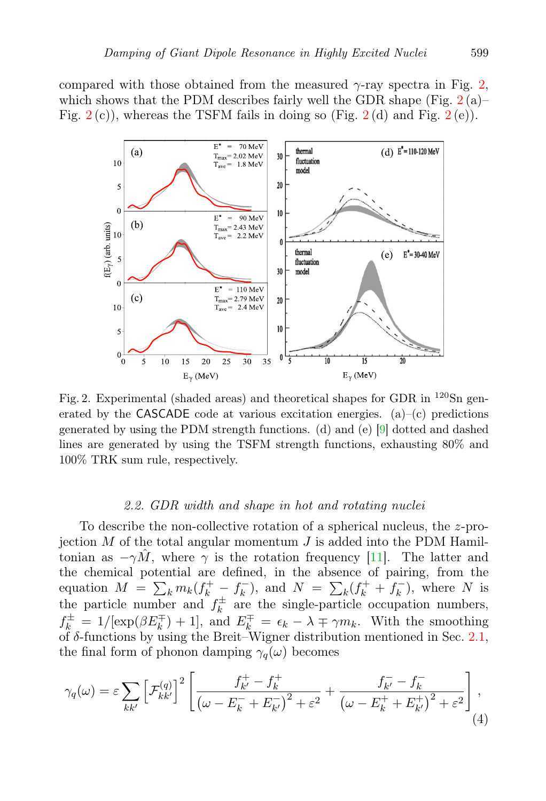compared with those obtained from the measured  $\gamma$ -ray spectra in Fig. [2,](#page-4-0) which shows that the PDM describes fairly well the GDR shape (Fig.  $2(a)$  $2(a)$ )– Fig.  $2(c)$  $2(c)$ , whereas the TSFM fails in doing so (Fig.  $2(d)$  and Fig.  $2(e)$ ).



<span id="page-4-0"></span>Fig. 2. Experimental (shaded areas) and theoretical shapes for GDR in  $^{120}Sn$  generated by the CASCADE code at various excitation energies. (a)–(c) predictions generated by using the PDM strength functions. (d) and (e) [\[9\]](#page-9-8) dotted and dashed lines are generated by using the TSFM strength functions, exhausting 80% and 100% TRK sum rule, respectively.

#### 2.2. GDR width and shape in hot and rotating nuclei

To describe the non-collective rotation of a spherical nucleus, the z-projection  $M$  of the total angular momentum  $J$  is added into the PDM Hamiltonian as  $-\gamma M$ , where  $\gamma$  is the rotation frequency [\[11\]](#page-9-17). The latter and the chemical potential are defined, in the absence of pairing, from the equation  $M = \sum_{k} m_k (f_k^+ - f_k^-)$  $(k)$ , and  $N = \sum_{k} (f_{k}^{+} + f_{k}^{-})$  $\binom{k}{k}$ , where N is the particle number and  $f_k^{\pm}$  $\mu_k^{\pm}$  are the single-particle occupation numbers,  $f_k^{\pm} = 1/[\exp(\beta E_k^{\mp}) + 1],$  and  $E_k^{\mp} = \epsilon_k - \lambda \mp \gamma m_k$ . With the smoothing of δ-functions by using the Breit–Wigner distribution mentioned in Sec. [2.1,](#page-1-1) the final form of phonon damping  $\gamma_q(\omega)$  becomes

$$
\gamma_q(\omega) = \varepsilon \sum_{kk'} \left[ \mathcal{F}_{kk'}^{(q)} \right]^2 \left[ \frac{f_{k'}^+ - f_k^+}{\left( \omega - E_k^- + E_{k'}^- \right)^2 + \varepsilon^2} + \frac{f_{k'}^- - f_k^-}{\left( \omega - E_k^+ + E_{k'}^+ \right)^2 + \varepsilon^2} \right],\tag{4}
$$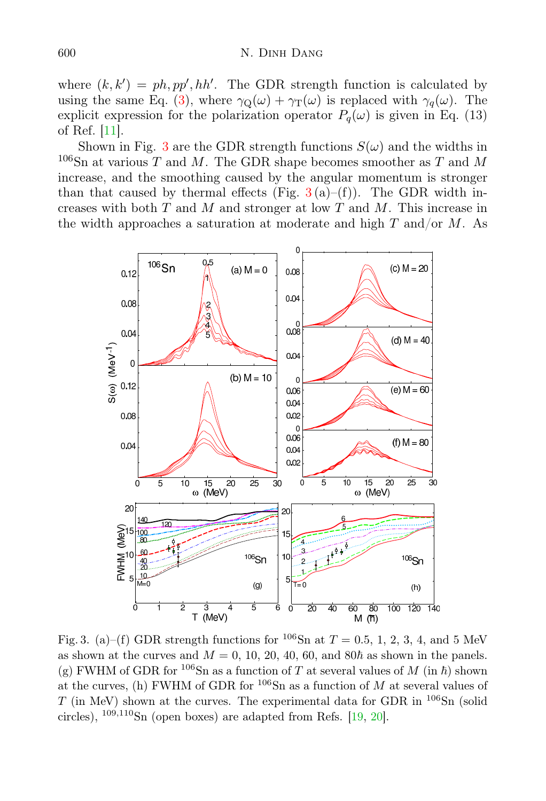where  $(k, k') = ph, pp', hh'$ . The GDR strength function is calculated by using the same Eq. [\(3\)](#page-2-1), where  $\gamma_{\mathcal{Q}}(\omega) + \gamma_{\mathcal{T}}(\omega)$  is replaced with  $\gamma_q(\omega)$ . The explicit expression for the polarization operator  $P_q(\omega)$  is given in Eq. (13) of Ref. [\[11\]](#page-9-17).

Shown in Fig. [3](#page-5-0) are the GDR strength functions  $S(\omega)$  and the widths in  $106$ Sn at various T and M. The GDR shape becomes smoother as T and M increase, and the smoothing caused by the angular momentum is stronger than that caused by thermal effects (Fig.  $3(a)$  $3(a)$ –(f)). The GDR width increases with both  $T$  and  $M$  and stronger at low  $T$  and  $M$ . This increase in the width approaches a saturation at moderate and high T and/or  $M$ . As



<span id="page-5-0"></span>Fig. 3. (a)–(f) GDR strength functions for <sup>106</sup>Sn at  $T = 0.5, 1, 2, 3, 4$ , and 5 MeV as shown at the curves and  $M = 0, 10, 20, 40, 60,$  and  $80<sup>\hbar</sup>$  as shown in the panels. (g) FWHM of GDR for <sup>106</sup>Sn as a function of T at several values of M (in  $\hbar$ ) shown at the curves, (h) FWHM of GDR for  $106$ Sn as a function of M at several values of  $T$  (in MeV) shown at the curves. The experimental data for GDR in  $^{106}Sn$  (solid circles),  $109,110$ Sn (open boxes) are adapted from Refs. [\[19,](#page-9-18) [20\]](#page-9-19).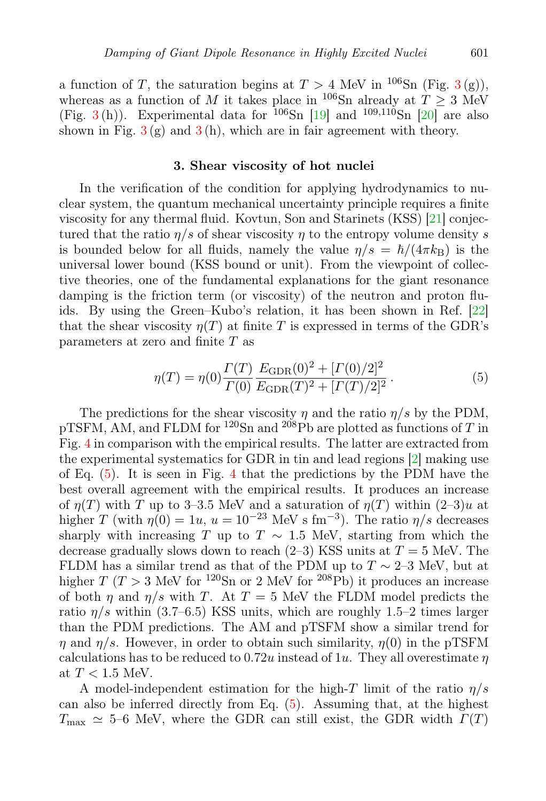a function of T, the saturation begins at  $T > 4$  MeV in <sup>106</sup>Sn (Fig. [3](#page-5-0)(g)), whereas as a function of M it takes place in <sup>106</sup>Sn already at  $T \geq 3$  MeV (Fig. [3](#page-5-0)(h)). Experimental data for  $10^6$ Sn [\[19\]](#page-9-18) and  $10^{9,110}$ Sn [\[20\]](#page-9-19) are also shown in Fig.  $3(g)$  $3(g)$  and  $3(h)$ , which are in fair agreement with theory.

### 3. Shear viscosity of hot nuclei

<span id="page-6-0"></span>In the verification of the condition for applying hydrodynamics to nuclear system, the quantum mechanical uncertainty principle requires a finite viscosity for any thermal fluid. Kovtun, Son and Starinets (KSS) [\[21\]](#page-9-20) conjectured that the ratio  $\eta/s$  of shear viscosity  $\eta$  to the entropy volume density s is bounded below for all fluids, namely the value  $\eta/s = \hbar/(4\pi k_B)$  is the universal lower bound (KSS bound or unit). From the viewpoint of collective theories, one of the fundamental explanations for the giant resonance damping is the friction term (or viscosity) of the neutron and proton fluids. By using the Green–Kubo's relation, it has been shown in Ref. [\[22\]](#page-9-21) that the shear viscosity  $\eta(T)$  at finite T is expressed in terms of the GDR's parameters at zero and finite T as

<span id="page-6-1"></span>
$$
\eta(T) = \eta(0) \frac{\Gamma(T)}{\Gamma(0)} \frac{E_{\text{GDR}}(0)^2 + [\Gamma(0)/2]^2}{E_{\text{GDR}}(T)^2 + [\Gamma(T)/2]^2}.
$$
\n(5)

The predictions for the shear viscosity  $\eta$  and the ratio  $\eta/s$  by the PDM, pTSFM, AM, and FLDM for  $120\text{Sn}$  and  $208\text{Pb}$  are plotted as functions of T in Fig. [4](#page-7-0) in comparison with the empirical results. The latter are extracted from the experimental systematics for GDR in tin and lead regions [\[2\]](#page-9-1) making use of Eq.  $(5)$ . It is seen in Fig. [4](#page-7-0) that the predictions by the PDM have the best overall agreement with the empirical results. It produces an increase of  $\eta(T)$  with T up to 3–3.5 MeV and a saturation of  $\eta(T)$  within  $(2-3)u$  at higher T (with  $\eta(0) = 1u$ ,  $u = 10^{-23}$  MeV s fm<sup>-3</sup>). The ratio  $\eta/s$  decreases sharply with increasing T up to T  $\sim$  1.5 MeV, starting from which the decrease gradually slows down to reach  $(2-3)$  KSS units at  $T = 5$  MeV. The FLDM has a similar trend as that of the PDM up to  $T \sim 2-3$  MeV, but at higher T (T > 3 MeV for <sup>120</sup>Sn or 2 MeV for <sup>208</sup>Pb) it produces an increase of both  $\eta$  and  $\eta/s$  with T. At T = 5 MeV the FLDM model predicts the ratio  $\eta/s$  within (3.7–6.5) KSS units, which are roughly 1.5–2 times larger than the PDM predictions. The AM and pTSFM show a similar trend for  $\eta$  and  $\eta/s$ . However, in order to obtain such similarity,  $\eta(0)$  in the pTSFM calculations has to be reduced to 0.72u instead of 1u. They all overestimate  $\eta$ at  $T < 1.5$  MeV.

A model-independent estimation for the high-T limit of the ratio  $\eta/s$ can also be inferred directly from Eq. [\(5\)](#page-6-1). Assuming that, at the highest  $T_{\text{max}} \simeq 5-6$  MeV, where the GDR can still exist, the GDR width  $\Gamma(T)$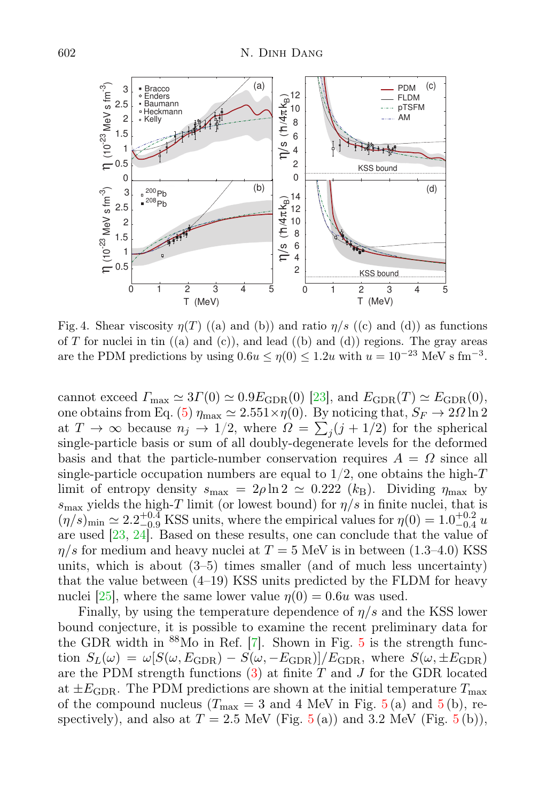

<span id="page-7-0"></span>Fig. 4. Shear viscosity  $\eta(T)$  ((a) and (b)) and ratio  $\eta/s$  ((c) and (d)) as functions of T for nuclei in tin  $((a)$  and  $(c)$ ), and lead  $((b)$  and  $(d))$  regions. The gray areas are the PDM predictions by using  $0.6u \le \eta(0) \le 1.2u$  with  $u = 10^{-23}$  MeV s fm<sup>-3</sup>.

cannot exceed  $\Gamma_{\text{max}} \simeq 3\Gamma(0) \simeq 0.9 E_{\text{GDR}}(0)$  [\[23\]](#page-9-22), and  $E_{\text{GDR}}(T) \simeq E_{\text{GDR}}(0)$ , one obtains from Eq. [\(5\)](#page-6-1)  $\eta_{\text{max}} \simeq 2.551 \times \eta(0)$ . By noticing that,  $S_F \to 2\Omega \ln 2$ at  $T \to \infty$  because  $n_j \to 1/2$ , where  $\Omega = \sum_j (j + 1/2)$  for the spherical single-particle basis or sum of all doubly-degenerate levels for the deformed basis and that the particle-number conservation requires  $A = \Omega$  since all single-particle occupation numbers are equal to  $1/2$ , one obtains the high-T limit of entropy density  $s_{\text{max}} = 2\rho \ln 2 \simeq 0.222$  (k<sub>B</sub>). Dividing  $\eta_{\text{max}}$  by  $s_{\text{max}}$  yields the high-T limit (or lowest bound) for  $\eta/s$  in finite nuclei, that is  $(\eta/s)_{\text{min}} \simeq 2.2^{+0.4}_{-0.9}$  KSS units, where the empirical values for  $\eta(0) = 1.0^{+0.2}_{-0.4}$  u are used [\[23,](#page-9-22) [24\]](#page-9-23). Based on these results, one can conclude that the value of  $\eta/s$  for medium and heavy nuclei at  $T = 5$  MeV is in between (1.3–4.0) KSS units, which is about (3–5) times smaller (and of much less uncertainty) that the value between (4–19) KSS units predicted by the FLDM for heavy nuclei [\[25\]](#page-9-24), where the same lower value  $\eta(0) = 0.6u$  was used.

Finally, by using the temperature dependence of  $\eta/s$  and the KSS lower bound conjecture, it is possible to examine the recent preliminary data for the GDR width in <sup>88</sup>Mo in Ref. [\[7\]](#page-9-6). Shown in Fig. [5](#page-8-0) is the strength function  $S_L(\omega) = \omega [S(\omega, E_{\text{GDR}}) - S(\omega, -E_{\text{GDR}})]/E_{\text{GDR}}$ , where  $S(\omega, \pm E_{\text{GDR}})$ are the PDM strength functions  $(3)$  at finite T and J for the GDR located at  $\pm E_{\rm GDR}$ . The PDM predictions are shown at the initial temperature  $T_{\rm max}$ of the compound nucleus  $(T_{\text{max}} = 3 \text{ and } 4 \text{ MeV}$  in Fig.  $5(a)$  $5(a)$  and  $5(b)$ , respectively), and also at  $T = 2.5$  $T = 2.5$  MeV (Fig. 5(a)) and 3.2 MeV (Fig. 5(b)),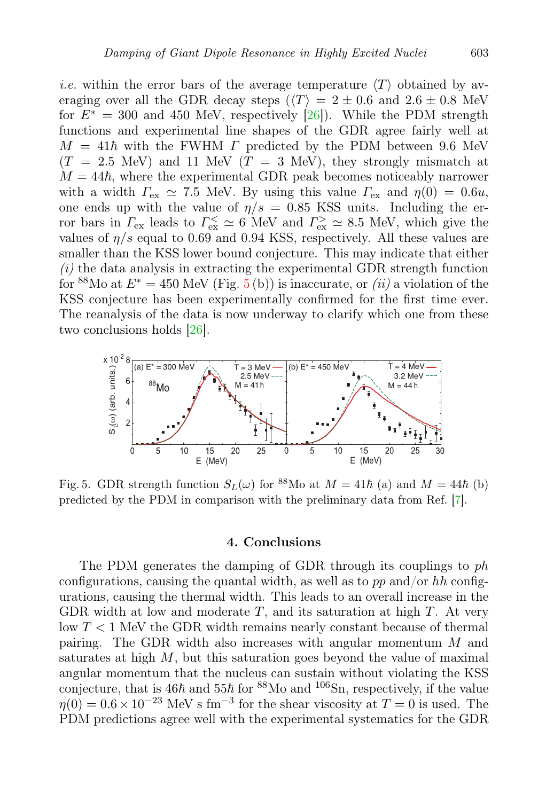*i.e.* within the error bars of the average temperature  $\langle T \rangle$  obtained by averaging over all the GDR decay steps ( $\langle T \rangle = 2 \pm 0.6$  and  $2.6 \pm 0.8$  MeV for  $E^* = 300$  and 450 MeV, respectively [\[26\]](#page-9-25)). While the PDM strength functions and experimental line shapes of the GDR agree fairly well at  $M = 41\hbar$  with the FWHM  $\Gamma$  predicted by the PDM between 9.6 MeV  $(T = 2.5$  MeV) and 11 MeV  $(T = 3$  MeV), they strongly mismatch at  $M = 44\hbar$ , where the experimental GDR peak becomes noticeably narrower with a width  $\Gamma_{\text{ex}} \simeq 7.5$  MeV. By using this value  $\Gamma_{\text{ex}}$  and  $\eta(0) = 0.6u$ , one ends up with the value of  $\eta/s = 0.85$  KSS units. Including the error bars in  $\Gamma_{\rm ex}$  leads to  $\Gamma_{\rm ex}^{\leq} \simeq 6$  MeV and  $\Gamma_{\rm ex}^{\geq} \simeq 8.5$  MeV, which give the values of  $\eta/s$  equal to 0.69 and 0.94 KSS, respectively. All these values are smaller than the KSS lower bound conjecture. This may indicate that either  $(i)$  the data analysis in extracting the experimental GDR strength function for <sup>88</sup>Mo at  $E^* = 450$  $E^* = 450$  $E^* = 450$  MeV (Fig. 5(b)) is inaccurate, or *(ii)* a violation of the KSS conjecture has been experimentally confirmed for the first time ever. The reanalysis of the data is now underway to clarify which one from these two conclusions holds [\[26\]](#page-9-25).



<span id="page-8-0"></span>Fig. 5. GDR strength function  $S_L(\omega)$  for <sup>88</sup>Mo at  $M = 41\hbar$  (a) and  $M = 44\hbar$  (b) predicted by the PDM in comparison with the preliminary data from Ref. [\[7\]](#page-9-6).

#### 4. Conclusions

The PDM generates the damping of GDR through its couplings to ph configurations, causing the quantal width, as well as to pp and/or hh configurations, causing the thermal width. This leads to an overall increase in the GDR width at low and moderate  $T$ , and its saturation at high  $T$ . At very low T < 1 MeV the GDR width remains nearly constant because of thermal pairing. The GDR width also increases with angular momentum M and saturates at high  $M$ , but this saturation goes beyond the value of maximal angular momentum that the nucleus can sustain without violating the KSS conjecture, that is  $46\hbar$  and  $55\hbar$  for  $88\text{Mo}$  and  $106\text{Sn}$ , respectively, if the value  $\eta(0) = 0.6 \times 10^{-23}$  MeV s fm<sup>-3</sup> for the shear viscosity at  $T = 0$  is used. The PDM predictions agree well with the experimental systematics for the GDR